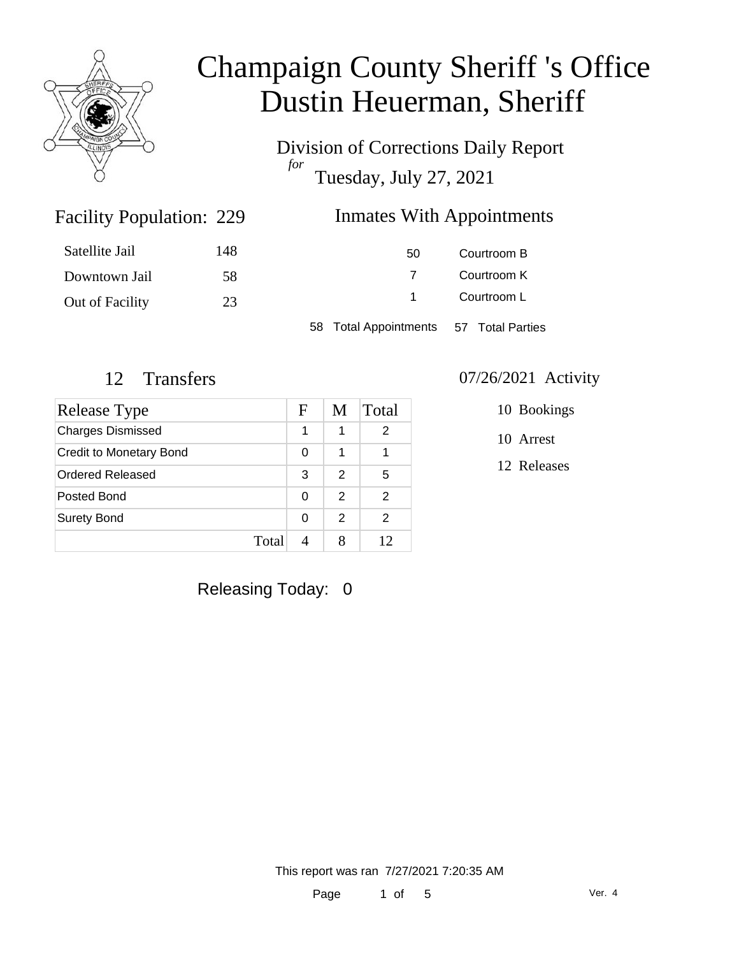

Division of Corrections Daily Report *for* Tuesday, July 27, 2021

### Inmates With Appointments

| Satellite Jail  | 148 | 50                                     | Courtroom B |
|-----------------|-----|----------------------------------------|-------------|
| Downtown Jail   | 58  |                                        | Courtroom K |
| Out of Facility | 23  |                                        | Courtroom L |
|                 |     | 58 Total Appointments 57 Total Parties |             |

Facility Population: 229

| Release Type                   | F        | M             | Total |
|--------------------------------|----------|---------------|-------|
| <b>Charges Dismissed</b>       | 1        | 1             | 2     |
| <b>Credit to Monetary Bond</b> | 0        | 1             |       |
| Ordered Released               | 3        | $\mathcal{P}$ | 5     |
| Posted Bond                    | 0        | $\mathcal{P}$ | 2     |
| <b>Surety Bond</b>             | $\Omega$ | $\mathcal{P}$ | 2     |
| Total                          |          |               | 12    |

#### 12 Transfers 07/26/2021 Activity

10 Bookings

10 Arrest

12 Releases

Releasing Today: 0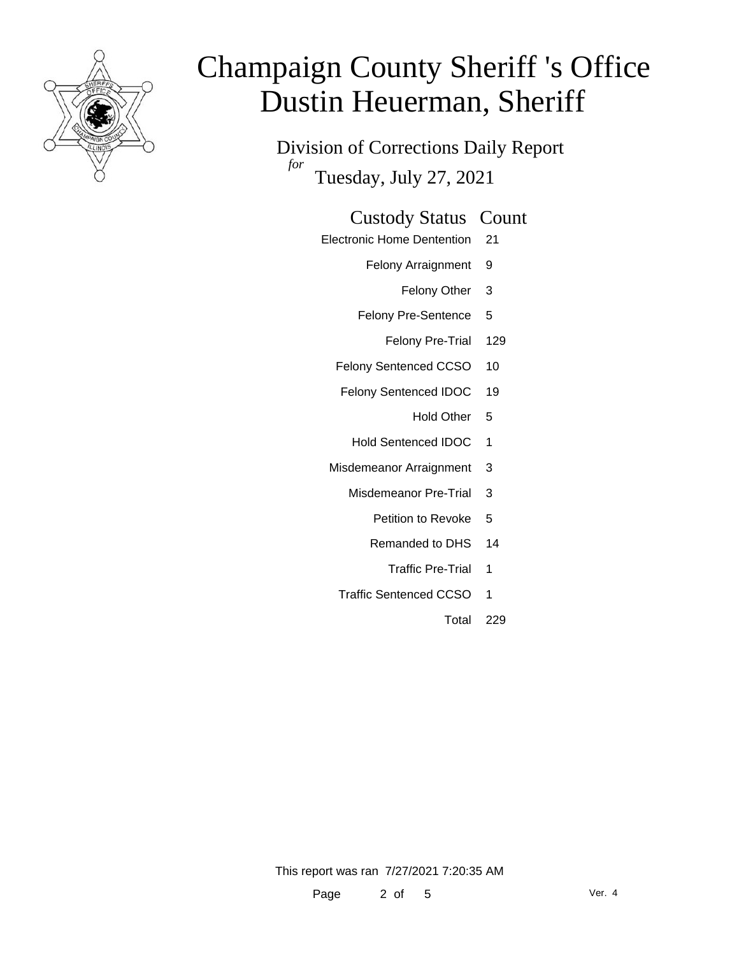

Division of Corrections Daily Report *for* Tuesday, July 27, 2021

### Custody Status Count

- Electronic Home Dentention 21
	- Felony Arraignment 9
		- Felony Other 3
	- Felony Pre-Sentence 5
		- Felony Pre-Trial 129
	- Felony Sentenced CCSO 10
	- Felony Sentenced IDOC 19
		- Hold Other 5
		- Hold Sentenced IDOC 1
	- Misdemeanor Arraignment 3
		- Misdemeanor Pre-Trial 3
			- Petition to Revoke 5
			- Remanded to DHS 14
				- Traffic Pre-Trial 1
		- Traffic Sentenced CCSO 1
			- Total 229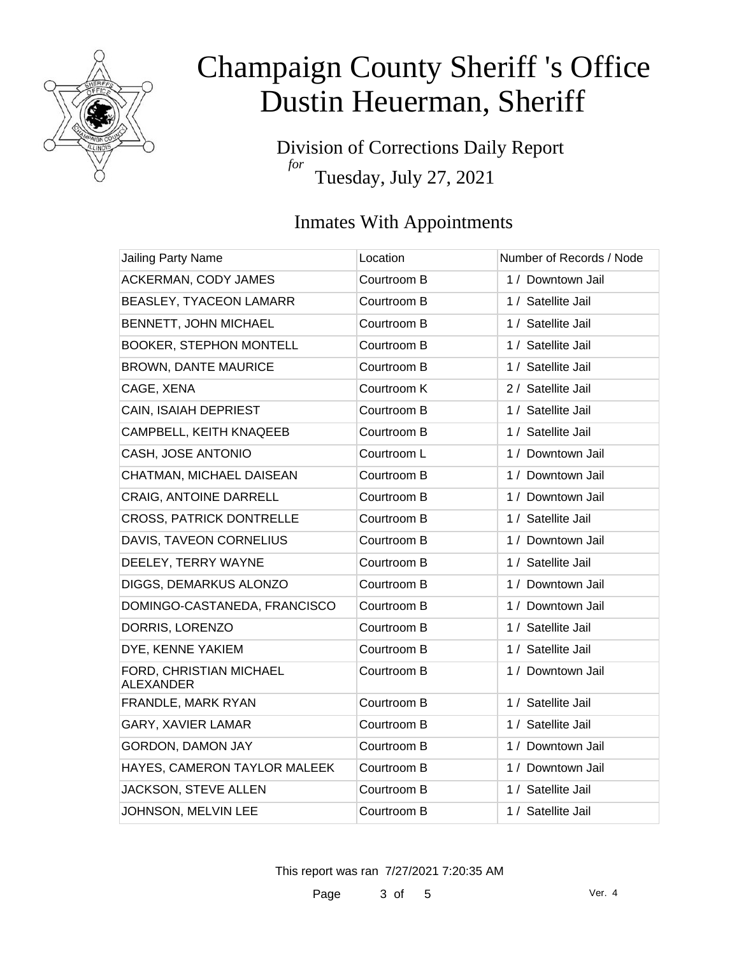

Division of Corrections Daily Report *for* Tuesday, July 27, 2021

### Inmates With Appointments

| Jailing Party Name                          | Location    | Number of Records / Node |
|---------------------------------------------|-------------|--------------------------|
| ACKERMAN, CODY JAMES                        | Courtroom B | 1 / Downtown Jail        |
| <b>BEASLEY, TYACEON LAMARR</b>              | Courtroom B | 1 / Satellite Jail       |
| BENNETT, JOHN MICHAEL                       | Courtroom B | 1 / Satellite Jail       |
| <b>BOOKER, STEPHON MONTELL</b>              | Courtroom B | 1 / Satellite Jail       |
| <b>BROWN, DANTE MAURICE</b>                 | Courtroom B | 1 / Satellite Jail       |
| CAGE, XENA                                  | Courtroom K | 2 / Satellite Jail       |
| CAIN, ISAIAH DEPRIEST                       | Courtroom B | 1 / Satellite Jail       |
| CAMPBELL, KEITH KNAQEEB                     | Courtroom B | 1 / Satellite Jail       |
| CASH, JOSE ANTONIO                          | Courtroom L | 1 / Downtown Jail        |
| CHATMAN, MICHAEL DAISEAN                    | Courtroom B | 1 / Downtown Jail        |
| <b>CRAIG, ANTOINE DARRELL</b>               | Courtroom B | 1 / Downtown Jail        |
| <b>CROSS, PATRICK DONTRELLE</b>             | Courtroom B | 1 / Satellite Jail       |
| DAVIS, TAVEON CORNELIUS                     | Courtroom B | 1 / Downtown Jail        |
| DEELEY, TERRY WAYNE                         | Courtroom B | 1 / Satellite Jail       |
| DIGGS, DEMARKUS ALONZO                      | Courtroom B | 1 / Downtown Jail        |
| DOMINGO-CASTANEDA, FRANCISCO                | Courtroom B | 1 / Downtown Jail        |
| DORRIS, LORENZO                             | Courtroom B | 1 / Satellite Jail       |
| DYE, KENNE YAKIEM                           | Courtroom B | 1 / Satellite Jail       |
| FORD, CHRISTIAN MICHAEL<br><b>ALEXANDER</b> | Courtroom B | 1 / Downtown Jail        |
| FRANDLE, MARK RYAN                          | Courtroom B | 1 / Satellite Jail       |
| GARY, XAVIER LAMAR                          | Courtroom B | 1 / Satellite Jail       |
| GORDON, DAMON JAY                           | Courtroom B | 1 / Downtown Jail        |
| HAYES, CAMERON TAYLOR MALEEK                | Courtroom B | 1 / Downtown Jail        |
| JACKSON, STEVE ALLEN                        | Courtroom B | 1 / Satellite Jail       |
| JOHNSON, MELVIN LEE                         | Courtroom B | 1 / Satellite Jail       |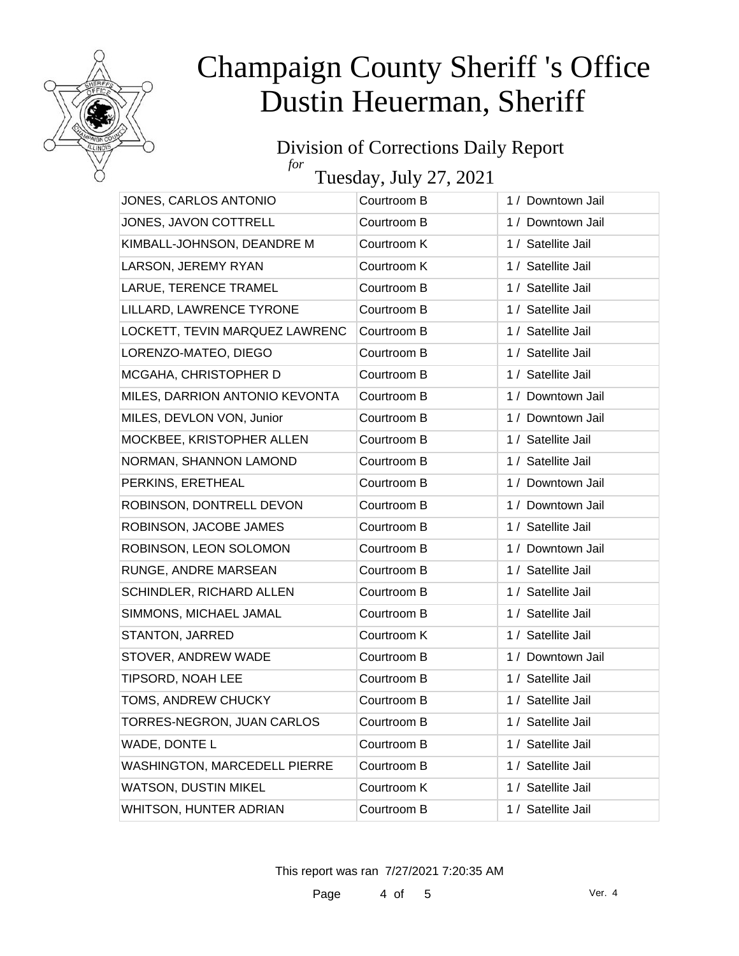

#### Division of Corrections Daily Report *for*

Tuesday, July 27, 2021

| JONES, CARLOS ANTONIO               | Courtroom B | 1 / Downtown Jail  |
|-------------------------------------|-------------|--------------------|
| JONES, JAVON COTTRELL               | Courtroom B | 1 / Downtown Jail  |
| KIMBALL-JOHNSON, DEANDRE M          | Courtroom K | 1 / Satellite Jail |
| LARSON, JEREMY RYAN                 | Courtroom K | 1 / Satellite Jail |
| LARUE, TERENCE TRAMEL               | Courtroom B | 1 / Satellite Jail |
| LILLARD, LAWRENCE TYRONE            | Courtroom B | 1 / Satellite Jail |
| LOCKETT, TEVIN MARQUEZ LAWRENC      | Courtroom B | 1 / Satellite Jail |
| LORENZO-MATEO, DIEGO                | Courtroom B | 1 / Satellite Jail |
| MCGAHA, CHRISTOPHER D               | Courtroom B | 1 / Satellite Jail |
| MILES, DARRION ANTONIO KEVONTA      | Courtroom B | 1 / Downtown Jail  |
| MILES, DEVLON VON, Junior           | Courtroom B | 1 / Downtown Jail  |
| MOCKBEE, KRISTOPHER ALLEN           | Courtroom B | 1 / Satellite Jail |
| NORMAN, SHANNON LAMOND              | Courtroom B | 1 / Satellite Jail |
| PERKINS, ERETHEAL                   | Courtroom B | 1 / Downtown Jail  |
| ROBINSON, DONTRELL DEVON            | Courtroom B | 1 / Downtown Jail  |
| ROBINSON, JACOBE JAMES              | Courtroom B | 1 / Satellite Jail |
| ROBINSON, LEON SOLOMON              | Courtroom B | 1 / Downtown Jail  |
| RUNGE, ANDRE MARSEAN                | Courtroom B | 1 / Satellite Jail |
| SCHINDLER, RICHARD ALLEN            | Courtroom B | 1 / Satellite Jail |
| SIMMONS, MICHAEL JAMAL              | Courtroom B | 1 / Satellite Jail |
| STANTON, JARRED                     | Courtroom K | 1 / Satellite Jail |
| STOVER, ANDREW WADE                 | Courtroom B | 1 / Downtown Jail  |
| TIPSORD, NOAH LEE                   | Courtroom B | 1 / Satellite Jail |
| TOMS, ANDREW CHUCKY                 | Courtroom B | 1 / Satellite Jail |
| TORRES-NEGRON, JUAN CARLOS          | Courtroom B | 1 / Satellite Jail |
| WADE, DONTE L                       | Courtroom B | 1 / Satellite Jail |
| <b>WASHINGTON, MARCEDELL PIERRE</b> | Courtroom B | 1 / Satellite Jail |
| <b>WATSON, DUSTIN MIKEL</b>         | Courtroom K | 1 / Satellite Jail |
| WHITSON, HUNTER ADRIAN              | Courtroom B | 1 / Satellite Jail |